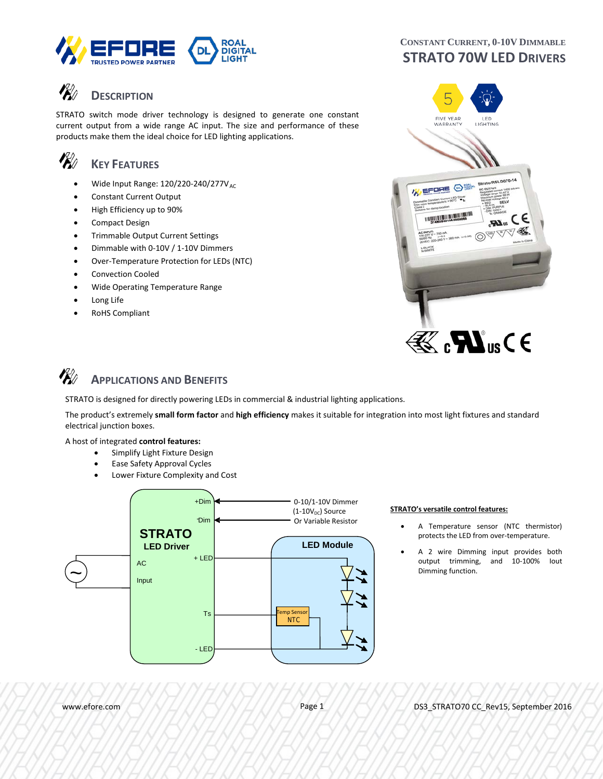

## **DESCRIPTION**

STRATO switch mode driver technology is designed to generate one constant current output from a wide range AC input. The size and performance of these products make them the ideal choice for LED lighting applications.

## **KEY FEATURES**

**P**U

- Wide Input Range:  $120/220-240/277V_{AC}$
- Constant Current Output
- High Efficiency up to 90%
- Compact Design
- Trimmable Output Current Settings
- Dimmable with 0-10V / 1-10V Dimmers
- Over-Temperature Protection for LEDs (NTC)
- Convection Cooled
- Wide Operating Temperature Range
- Long Life
- RoHS Compliant

## **CONSTANT CURRENT, 0-10V DIMMABLE STRATO 70W LED DRIVERS**



#### VK) **APPLICATIONS AND BENEFITS**

STRATO is designed for directly powering LEDs in commercial & industrial lighting applications.

The product's extremely **small form factor** and **high efficiency** makes it suitable for integration into most light fixtures and standard electrical junction boxes.

#### A host of integrated **control features:**

- Simplify Light Fixture Design
- Ease Safety Approval Cycles
- Lower Fixture Complexity and Cost



- A Temperature sensor (NTC thermistor) protects the LED from over-temperature.
- A 2 wire Dimming input provides both output trimming, and 10-100% Iout Dimming function.

www.efore.com APA APA APA Page 1 DS3\_STRATO70 CC\_Rev15, September 2016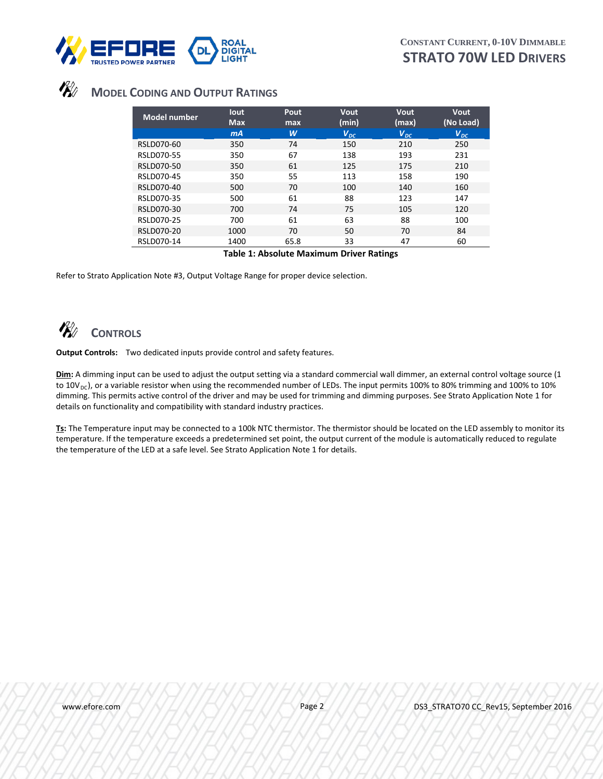

## **MODEL CODING AND OUTPUT RATINGS**

| max  |          |              | Vout<br>(No Load) |
|------|----------|--------------|-------------------|
| w    | $V_{DC}$ | $V_{DC}$     | $V_{DC}$          |
| 74   | 150      | 210          | 250               |
| 67   | 138      | 193          | 231               |
| 61   | 125      | 175          | 210               |
| 55   | 113      | 158          | 190               |
| 70   | 100      | 140          | 160               |
| 61   | 88       | 123          | 147               |
| 74   | 75       | 105          | 120               |
| 61   | 63       | 88           | 100               |
| 70   | 50       | 70           | 84                |
| 65.8 | 33       | 47           | 60                |
|      | _<br>.   | (min)<br>- - | (max)<br>- -      |

**Table 1: Absolute Maximum Driver Ratings**

Refer to Strato Application Note #3, Output Voltage Range for proper device selection.

## **CONTROLS**

**Output Controls:** Two dedicated inputs provide control and safety features.

**Dim:** A dimming input can be used to adjust the output setting via a standard commercial wall dimmer, an external control voltage source (1 to  $10V_{DC}$ ), or a variable resistor when using the recommended number of LEDs. The input permits 100% to 80% trimming and 100% to 10% dimming. This permits active control of the driver and may be used for trimming and dimming purposes. See Strato Application Note 1 for details on functionality and compatibility with standard industry practices.

**Ts:** The Temperature input may be connected to a 100k NTC thermistor. The thermistor should be located on the LED assembly to monitor its temperature. If the temperature exceeds a predetermined set point, the output current of the module is automatically reduced to regulate the temperature of the LED at a safe level. See Strato Application Note 1 for details.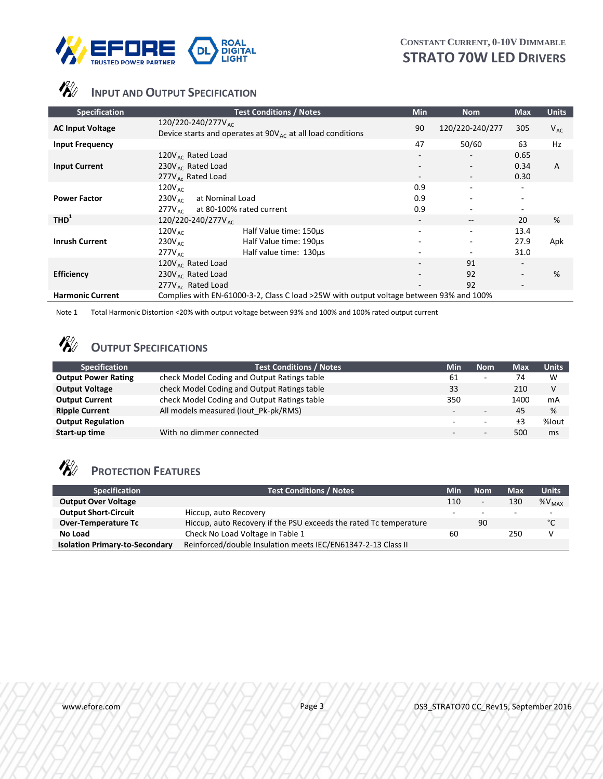



## **INPUT AND OUTPUT SPECIFICATION**

| <b>Specification</b>    | <b>Test Conditions / Notes</b>                                                                                                 | Min                                | <b>Nom</b>                                                | <b>Max</b>                                                                       | <b>Units</b> |
|-------------------------|--------------------------------------------------------------------------------------------------------------------------------|------------------------------------|-----------------------------------------------------------|----------------------------------------------------------------------------------|--------------|
| <b>AC Input Voltage</b> | 120/220-240/277V <sub>ac</sub><br>Device starts and operates at $90V_{AC}$ at all load conditions                              | 90                                 | 120/220-240/277                                           | 305                                                                              | $V_{AC}$     |
| <b>Input Frequency</b>  |                                                                                                                                | 47                                 | 50/60                                                     | 63                                                                               | Hz           |
| <b>Input Current</b>    | 120V $_{AC}$ Rated Load<br>230 $V_{AC}$ Rated Load<br>$277V_{Ac}$ Rated Load                                                   | $\overline{\phantom{a}}$<br>$\sim$ | ۰<br>$\overline{\phantom{a}}$<br>$\overline{\phantom{a}}$ | 0.65<br>0.34<br>0.30                                                             | A            |
| <b>Power Factor</b>     | $120V_{AC}$<br>at Nominal Load<br>$230V_{\text{arc}}$<br>at 80-100% rated current<br>$277V_{\text{AC}}$                        | 0.9<br>0.9<br>0.9                  | ٠<br>۰                                                    | $\overline{\phantom{a}}$                                                         |              |
| THD <sup>1</sup>        | 120/220-240/277V AC                                                                                                            | ۰.                                 | $\qquad \qquad -$                                         | 20                                                                               | %            |
| <b>Inrush Current</b>   | $120V_{AC}$<br>Half Value time: 150us<br>Half Value time: 190us<br>$230V_{\text{AC}}$<br>Half value time: 130us<br>$277V_{AC}$ |                                    | ۰<br>۰<br>۰                                               | 13.4<br>27.9<br>31.0                                                             | Apk          |
| <b>Efficiency</b>       | 120 $V_{AC}$ Rated Load<br>230 $V_{AC}$ Rated Load<br>$277V_{AC}$ Rated Load                                                   |                                    | 91<br>92<br>92                                            | $\overline{\phantom{0}}$<br>$\overline{\phantom{a}}$<br>$\overline{\phantom{a}}$ | %            |
| <b>Harmonic Current</b> | Complies with EN-61000-3-2, Class C load >25W with output voltage between 93% and 100%                                         |                                    |                                                           |                                                                                  |              |

Note 1 Total Harmonic Distortion <20% with output voltage between 93% and 100% and 100% rated output current

### **V**W **OUTPUT SPECIFICATIONS**

| <b>Specification</b>       | <b>Test Conditions / Notes</b>              | <b>Min</b> | <b>Nom</b>               | <b>Max</b> | <b>Units</b> |
|----------------------------|---------------------------------------------|------------|--------------------------|------------|--------------|
| <b>Output Power Rating</b> | check Model Coding and Output Ratings table | 61         | $\overline{\phantom{a}}$ | 74         | W            |
| <b>Output Voltage</b>      | check Model Coding and Output Ratings table | 33         |                          | 210        | V            |
| <b>Output Current</b>      | check Model Coding and Output Ratings table | 350        |                          | 1400       | mA           |
| <b>Ripple Current</b>      | All models measured (lout Pk-pk/RMS)        | -          | $\overline{\phantom{0}}$ | 45         | %            |
| <b>Output Regulation</b>   |                                             | $\sim$     | -                        | ±3         | %lout        |
| Start-up time              | With no dimmer connected                    | $\sim$     | $\overline{\phantom{a}}$ | 500        | ms           |

### **VF**II **PROTECTION FEATURES**

| <b>Specification</b>                  | <b>Test Conditions / Notes</b>                                    | Min | <b>Nom</b>               | Max                      | <b>Units</b>             |
|---------------------------------------|-------------------------------------------------------------------|-----|--------------------------|--------------------------|--------------------------|
| <b>Output Over Voltage</b>            |                                                                   | 110 | $\overline{\phantom{a}}$ | 130                      | $%V_{MAX}$               |
| <b>Output Short-Circuit</b>           | Hiccup, auto Recovery                                             |     | $\overline{\phantom{a}}$ | $\overline{\phantom{a}}$ | $\overline{\phantom{a}}$ |
| <b>Over-Temperature Tc</b>            | Hiccup, auto Recovery if the PSU exceeds the rated Tc temperature |     | 90                       |                          | °С                       |
| No Load                               | Check No Load Voltage in Table 1                                  | 60  |                          | 250                      | v                        |
| <b>Isolation Primary-to-Secondary</b> | Reinforced/double Insulation meets IEC/EN61347-2-13 Class II      |     |                          |                          |                          |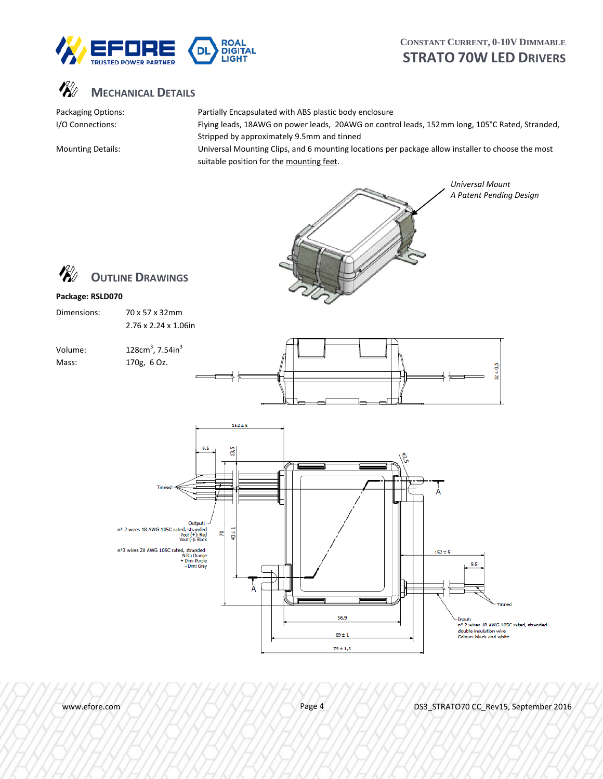



Packaging Options: Partially Encapsulated with ABS plastic body enclosure I/O Connections: Flying leads, 18AWG on power leads, 20AWG on control leads, 152mm long, 105°C Rated, Stranded, Stripped by approximately 9.5mm and tinned

Mounting Details: Universal Mounting Clips, and 6 mounting locations per package allow installer to choose the most suitable position for the mounting feet.



www.efore.com Page 4 DS3\_STRATO70 CC\_Rev15, September 2016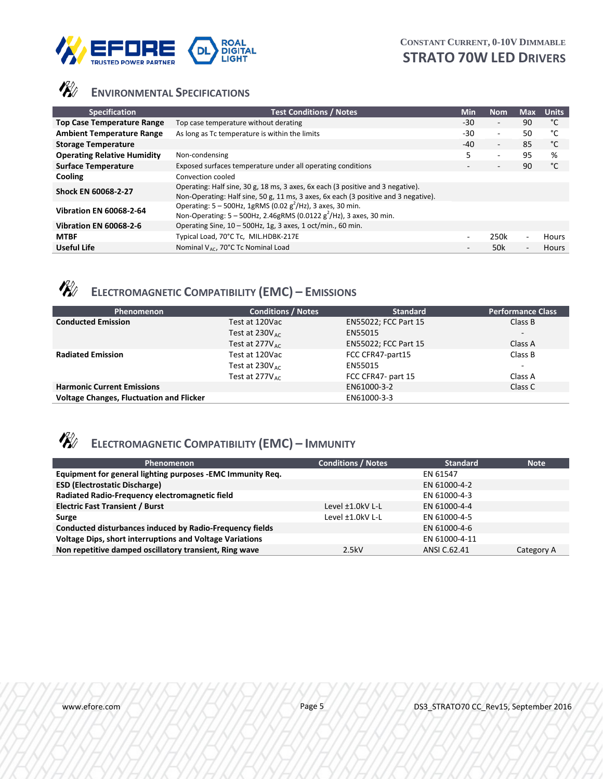



# **ENVIRONMENTAL SPECIFICATIONS**

| <b>Specification</b>               | <b>Test Conditions / Notes</b>                                                                                                                                         | <b>Min</b>               | <b>Nom</b>               | <b>Max</b>               | <b>Units</b> |
|------------------------------------|------------------------------------------------------------------------------------------------------------------------------------------------------------------------|--------------------------|--------------------------|--------------------------|--------------|
| <b>Top Case Temperature Range</b>  | Top case temperature without derating                                                                                                                                  | $-30$                    | $\overline{\phantom{a}}$ | 90                       | °C           |
| <b>Ambient Temperature Range</b>   | As long as Tc temperature is within the limits                                                                                                                         | -30                      | $\overline{\phantom{a}}$ | 50                       | °C           |
| <b>Storage Temperature</b>         |                                                                                                                                                                        | -40                      | $\overline{\phantom{a}}$ | 85                       | °C           |
| <b>Operating Relative Humidity</b> | Non-condensing                                                                                                                                                         | 5.                       | ۰                        | 95                       | %            |
| <b>Surface Temperature</b>         | Exposed surfaces temperature under all operating conditions                                                                                                            |                          | $\overline{\phantom{a}}$ | 90                       | °C           |
| Cooling                            | Convection cooled                                                                                                                                                      |                          |                          |                          |              |
| <b>Shock EN 60068-2-27</b>         | Operating: Half sine, 30 g, 18 ms, 3 axes, 6x each (3 positive and 3 negative).<br>Non-Operating: Half sine, 50 g, 11 ms, 3 axes, 6x each (3 positive and 3 negative). |                          |                          |                          |              |
| <b>Vibration EN 60068-2-64</b>     | Operating: $5 - 500$ Hz, 1gRMS (0.02 g <sup>2</sup> /Hz), 3 axes, 30 min.<br>Non-Operating: $5 - 500$ Hz, 2.46gRMS (0.0122 g <sup>2</sup> /Hz), 3 axes, 30 min.        |                          |                          |                          |              |
| <b>Vibration EN 60068-2-6</b>      | Operating Sine, $10 - 500$ Hz, 1g, 3 axes, 1 oct/min., 60 min.                                                                                                         |                          |                          |                          |              |
| <b>MTBF</b>                        | Typical Load, 70°C Tc, MIL.HDBK-217E                                                                                                                                   |                          | 250k                     | $\sim$                   | Hours        |
| Useful Life                        | Nominal $V_{AC}$ , 70°C Tc Nominal Load                                                                                                                                | $\overline{\phantom{a}}$ | 50k                      | $\overline{\phantom{a}}$ | <b>Hours</b> |

# **ELECTROMAGNETIC COMPATIBILITY (EMC) – EMISSIONS**

| Phenomenon                                      | <b>Conditions / Notes</b>   | <b>Standard</b>             | <b>Performance Class</b> |
|-------------------------------------------------|-----------------------------|-----------------------------|--------------------------|
| <b>Conducted Emission</b>                       | Test at 120Vac              | <b>EN55022; FCC Part 15</b> | Class B                  |
|                                                 | Test at $230V_{\text{arc}}$ | EN55015                     | $\overline{\phantom{a}}$ |
|                                                 | Test at $277V_{AC}$         | EN55022; FCC Part 15        | Class A                  |
| <b>Radiated Emission</b>                        | Test at 120Vac              | FCC CFR47-part15            | Class B                  |
|                                                 | Test at $230V_{AC}$         | EN55015                     | $\overline{\phantom{a}}$ |
|                                                 | Test at $277V_{\text{arc}}$ | FCC CFR47- part 15          | Class A                  |
| <b>Harmonic Current Emissions</b>               |                             | EN61000-3-2                 | Class C                  |
| <b>Voltage Changes, Fluctuation and Flicker</b> |                             | EN61000-3-3                 |                          |

# **ELECTROMAGNETIC COMPATIBILITY (EMC) – IMMUNITY**

| Phenomenon                                                      | <b>Conditions / Notes</b> | <b>Standard</b> | <b>Note</b> |
|-----------------------------------------------------------------|---------------------------|-----------------|-------------|
| Equipment for general lighting purposes -EMC Immunity Req.      |                           | EN 61547        |             |
| <b>ESD (Electrostatic Discharge)</b>                            |                           | EN 61000-4-2    |             |
| Radiated Radio-Frequency electromagnetic field                  |                           | EN 61000-4-3    |             |
| <b>Electric Fast Transient / Burst</b>                          | Level $\pm 1.0$ kV L-L    | EN 61000-4-4    |             |
| Surge                                                           | Level ±1.0kV L-L          | EN 61000-4-5    |             |
| Conducted disturbances induced by Radio-Frequency fields        |                           | EN 61000-4-6    |             |
| <b>Voltage Dips, short interruptions and Voltage Variations</b> |                           | EN 61000-4-11   |             |
| Non repetitive damped oscillatory transient, Ring wave          | 2.5kV                     | ANSI C.62.41    | Category A  |